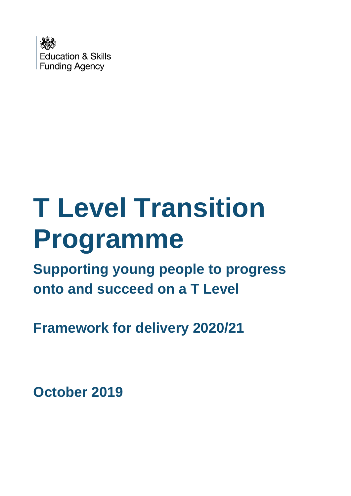

# **T Level Transition Programme**

**Supporting young people to progress onto and succeed on a T Level** 

**Framework for delivery 2020/21**

**October 2019**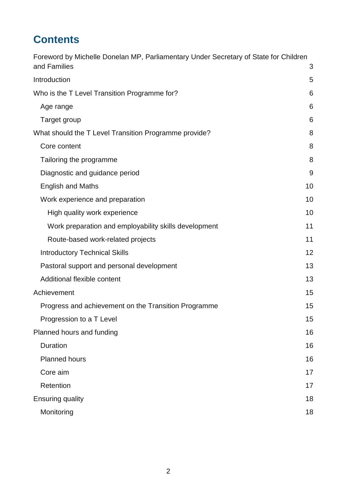# **Contents**

| Foreword by Michelle Donelan MP, Parliamentary Under Secretary of State for Children<br>and Families | 3  |
|------------------------------------------------------------------------------------------------------|----|
| Introduction                                                                                         | 5  |
| Who is the T Level Transition Programme for?                                                         | 6  |
| Age range                                                                                            | 6  |
| Target group                                                                                         | 6  |
| What should the T Level Transition Programme provide?                                                | 8  |
| Core content                                                                                         | 8  |
| Tailoring the programme                                                                              | 8  |
| Diagnostic and guidance period                                                                       | 9  |
| <b>English and Maths</b>                                                                             | 10 |
| Work experience and preparation                                                                      | 10 |
| High quality work experience                                                                         | 10 |
| Work preparation and employability skills development                                                | 11 |
| Route-based work-related projects                                                                    | 11 |
| <b>Introductory Technical Skills</b>                                                                 | 12 |
| Pastoral support and personal development                                                            | 13 |
| Additional flexible content                                                                          | 13 |
| Achievement                                                                                          | 15 |
| Progress and achievement on the Transition Programme                                                 | 15 |
| Progression to a T Level                                                                             | 15 |
| Planned hours and funding                                                                            | 16 |
| Duration                                                                                             | 16 |
| <b>Planned hours</b>                                                                                 | 16 |
| Core aim                                                                                             | 17 |
| Retention                                                                                            | 17 |
| <b>Ensuring quality</b>                                                                              | 18 |
| Monitoring                                                                                           | 18 |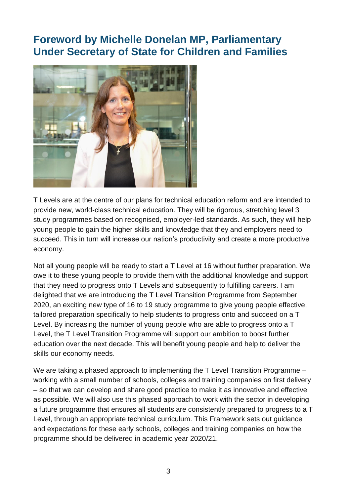# <span id="page-2-0"></span>**Foreword by Michelle Donelan MP, Parliamentary Under Secretary of State for Children and Families**



T Levels are at the centre of our plans for technical education reform and are intended to provide new, world-class technical education. They will be rigorous, stretching level 3 study programmes based on recognised, employer-led standards. As such, they will help young people to gain the higher skills and knowledge that they and employers need to succeed. This in turn will increase our nation's productivity and create a more productive economy.

Not all young people will be ready to start a T Level at 16 without further preparation. We owe it to these young people to provide them with the additional knowledge and support that they need to progress onto T Levels and subsequently to fulfilling careers. I am delighted that we are introducing the T Level Transition Programme from September 2020, an exciting new type of 16 to 19 study programme to give young people effective, tailored preparation specifically to help students to progress onto and succeed on a T Level. By increasing the number of young people who are able to progress onto a T Level, the T Level Transition Programme will support our ambition to boost further education over the next decade. This will benefit young people and help to deliver the skills our economy needs.

We are taking a phased approach to implementing the T Level Transition Programme – working with a small number of schools, colleges and training companies on first delivery – so that we can develop and share good practice to make it as innovative and effective as possible. We will also use this phased approach to work with the sector in developing a future programme that ensures all students are consistently prepared to progress to a T Level, through an appropriate technical curriculum. This Framework sets out guidance and expectations for these early schools, colleges and training companies on how the programme should be delivered in academic year 2020/21.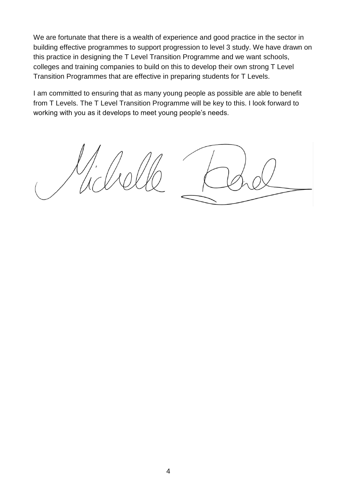We are fortunate that there is a wealth of experience and good practice in the sector in building effective programmes to support progression to level 3 study. We have drawn on this practice in designing the T Level Transition Programme and we want schools, colleges and training companies to build on this to develop their own strong T Level Transition Programmes that are effective in preparing students for T Levels.

I am committed to ensuring that as many young people as possible are able to benefit from T Levels. The T Level Transition Programme will be key to this. I look forward to working with you as it develops to meet young people's needs.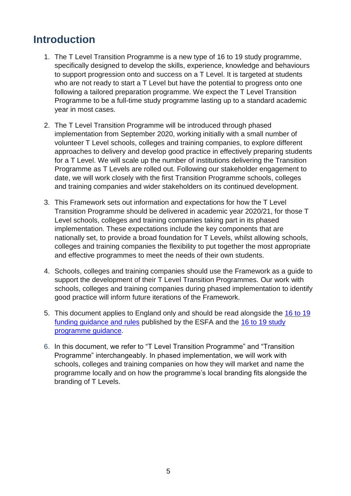# <span id="page-4-0"></span>**Introduction**

- 1. The T Level Transition Programme is a new type of 16 to 19 study programme, specifically designed to develop the skills, experience, knowledge and behaviours to support progression onto and success on a T Level. It is targeted at students who are not ready to start a T Level but have the potential to progress onto one following a tailored preparation programme. We expect the T Level Transition Programme to be a full-time study programme lasting up to a standard academic year in most cases.
- 2. The T Level Transition Programme will be introduced through phased implementation from September 2020, working initially with a small number of volunteer T Level schools, colleges and training companies, to explore different approaches to delivery and develop good practice in effectively preparing students for a T Level. We will scale up the number of institutions delivering the Transition Programme as T Levels are rolled out. Following our stakeholder engagement to date, we will work closely with the first Transition Programme schools, colleges and training companies and wider stakeholders on its continued development.
- 3. This Framework sets out information and expectations for how the T Level Transition Programme should be delivered in academic year 2020/21, for those T Level schools, colleges and training companies taking part in its phased implementation. These expectations include the key components that are nationally set, to provide a broad foundation for T Levels, whilst allowing schools, colleges and training companies the flexibility to put together the most appropriate and effective programmes to meet the needs of their own students.
- 4. Schools, colleges and training companies should use the Framework as a guide to support the development of their T Level Transition Programmes. Our work with schools, colleges and training companies during phased implementation to identify good practice will inform future iterations of the Framework.
- 5. This document applies to England only and should be read alongside the [16 to 19](https://www.gov.uk/guidance/16-to-19-education-funding-guidance)  [funding guidance and rules](https://www.gov.uk/guidance/16-to-19-education-funding-guidance) published by the ESFA and the [16 to 19 study](https://www.gov.uk/government/publications/16-to-19-study-programmes-guide-for-providers/)  [programme guidance.](https://www.gov.uk/government/publications/16-to-19-study-programmes-guide-for-providers/)
- 6. In this document, we refer to "T Level Transition Programme" and "Transition Programme" interchangeably. In phased implementation, we will work with schools, colleges and training companies on how they will market and name the programme locally and on how the programme's local branding fits alongside the branding of T Levels.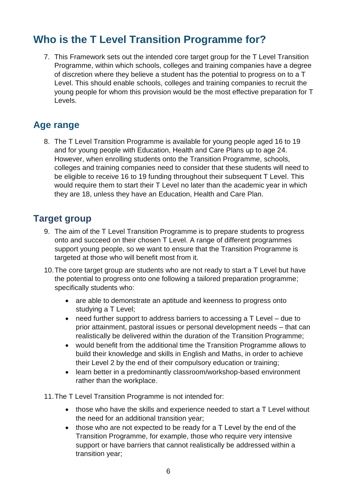# <span id="page-5-0"></span>**Who is the T Level Transition Programme for?**

7. This Framework sets out the intended core target group for the T Level Transition Programme, within which schools, colleges and training companies have a degree of discretion where they believe a student has the potential to progress on to a T Level. This should enable schools, colleges and training companies to recruit the young people for whom this provision would be the most effective preparation for T Levels.

### <span id="page-5-1"></span>**Age range**

8. The T Level Transition Programme is available for young people aged 16 to 19 and for young people with Education, Health and Care Plans up to age 24. However, when enrolling students onto the Transition Programme, schools, colleges and training companies need to consider that these students will need to be eligible to receive 16 to 19 funding throughout their subsequent T Level. This would require them to start their T Level no later than the academic year in which they are 18, unless they have an Education, Health and Care Plan.

## <span id="page-5-2"></span>**Target group**

- 9. The aim of the T Level Transition Programme is to prepare students to progress onto and succeed on their chosen T Level. A range of different programmes support young people, so we want to ensure that the Transition Programme is targeted at those who will benefit most from it.
- 10.The core target group are students who are not ready to start a T Level but have the potential to progress onto one following a tailored preparation programme; specifically students who:
	- are able to demonstrate an aptitude and keenness to progress onto studying a T Level;
	- need further support to address barriers to accessing a T Level due to prior attainment, pastoral issues or personal development needs – that can realistically be delivered within the duration of the Transition Programme;
	- would benefit from the additional time the Transition Programme allows to build their knowledge and skills in English and Maths, in order to achieve their Level 2 by the end of their compulsory education or training;
	- learn better in a predominantly classroom/workshop-based environment rather than the workplace.
- 11.The T Level Transition Programme is not intended for:
	- those who have the skills and experience needed to start a T Level without the need for an additional transition year;
	- those who are not expected to be ready for a T Level by the end of the Transition Programme, for example, those who require very intensive support or have barriers that cannot realistically be addressed within a transition year;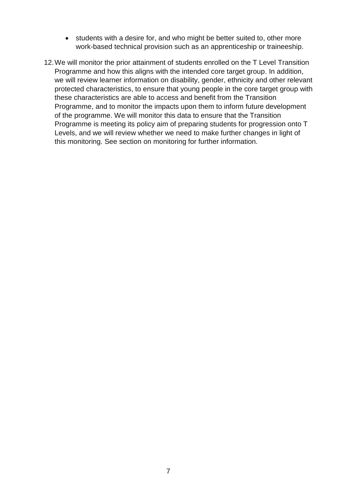- students with a desire for, and who might be better suited to, other more work-based technical provision such as an apprenticeship or traineeship.
- 12.We will monitor the prior attainment of students enrolled on the T Level Transition Programme and how this aligns with the intended core target group. In addition, we will review learner information on disability, gender, ethnicity and other relevant protected characteristics, to ensure that young people in the core target group with these characteristics are able to access and benefit from the Transition Programme, and to monitor the impacts upon them to inform future development of the programme. We will monitor this data to ensure that the Transition Programme is meeting its policy aim of preparing students for progression onto T Levels, and we will review whether we need to make further changes in light of this monitoring. See section on monitoring for further information.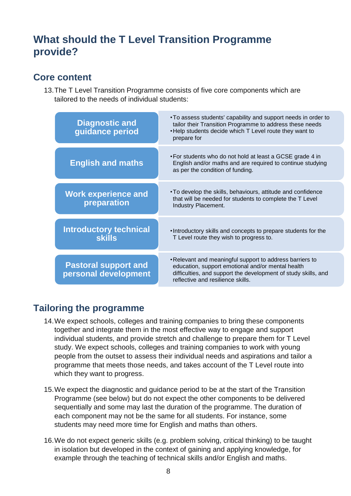# <span id="page-7-0"></span>**What should the T Level Transition Programme provide?**

#### <span id="page-7-1"></span>**Core content**

13.The T Level Transition Programme consists of five core components which are tailored to the needs of individual students:

| <b>Diagnostic and</b><br>guidance period            | . To assess students' capability and support needs in order to<br>tailor their Transition Programme to address these needs<br>. Help students decide which T Level route they want to<br>prepare for                 |
|-----------------------------------------------------|----------------------------------------------------------------------------------------------------------------------------------------------------------------------------------------------------------------------|
| <b>English and maths</b>                            | • For students who do not hold at least a GCSE grade 4 in<br>English and/or maths and are required to continue studying<br>as per the condition of funding.                                                          |
| <b>Work experience and</b><br>preparation           | . To develop the skills, behaviours, attitude and confidence<br>that will be needed for students to complete the T Level<br>Industry Placement.                                                                      |
| <b>Introductory technical</b><br><b>skills</b>      | . Introductory skills and concepts to prepare students for the<br>T Level route they wish to progress to.                                                                                                            |
| <b>Pastoral support and</b><br>personal development | . Relevant and meaningful support to address barriers to<br>education, support emotional and/or mental health<br>difficulties, and support the development of study skills, and<br>reflective and resilience skills. |

## <span id="page-7-2"></span>**Tailoring the programme**

- 14.We expect schools, colleges and training companies to bring these components together and integrate them in the most effective way to engage and support individual students, and provide stretch and challenge to prepare them for T Level study. We expect schools, colleges and training companies to work with young people from the outset to assess their individual needs and aspirations and tailor a programme that meets those needs, and takes account of the T Level route into which they want to progress.
- 15.We expect the diagnostic and guidance period to be at the start of the Transition Programme (see below) but do not expect the other components to be delivered sequentially and some may last the duration of the programme. The duration of each component may not be the same for all students. For instance, some students may need more time for English and maths than others.
- 16.We do not expect generic skills (e.g. problem solving, critical thinking) to be taught in isolation but developed in the context of gaining and applying knowledge, for example through the teaching of technical skills and/or English and maths.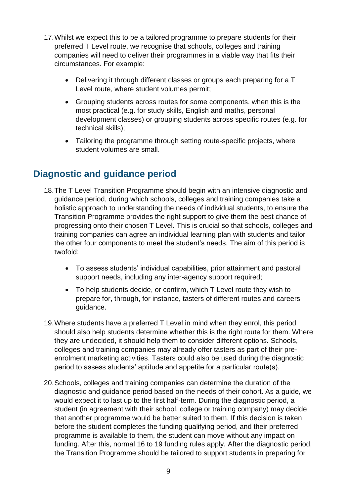- 17.Whilst we expect this to be a tailored programme to prepare students for their preferred T Level route, we recognise that schools, colleges and training companies will need to deliver their programmes in a viable way that fits their circumstances. For example:
	- Delivering it through different classes or groups each preparing for a T Level route, where student volumes permit;
	- Grouping students across routes for some components, when this is the most practical (e.g. for study skills, English and maths, personal development classes) or grouping students across specific routes (e.g. for technical skills);
	- Tailoring the programme through setting route-specific projects, where student volumes are small.

## <span id="page-8-0"></span>**Diagnostic and guidance period**

- 18.The T Level Transition Programme should begin with an intensive diagnostic and guidance period, during which schools, colleges and training companies take a holistic approach to understanding the needs of individual students, to ensure the Transition Programme provides the right support to give them the best chance of progressing onto their chosen T Level. This is crucial so that schools, colleges and training companies can agree an individual learning plan with students and tailor the other four components to meet the student's needs. The aim of this period is twofold:
	- To assess students' individual capabilities, prior attainment and pastoral support needs, including any inter-agency support required;
	- To help students decide, or confirm, which T Level route they wish to prepare for, through, for instance, tasters of different routes and careers guidance.
- 19.Where students have a preferred T Level in mind when they enrol, this period should also help students determine whether this is the right route for them. Where they are undecided, it should help them to consider different options. Schools, colleges and training companies may already offer tasters as part of their preenrolment marketing activities. Tasters could also be used during the diagnostic period to assess students' aptitude and appetite for a particular route(s).
- 20.Schools, colleges and training companies can determine the duration of the diagnostic and guidance period based on the needs of their cohort. As a guide, we would expect it to last up to the first half-term. During the diagnostic period, a student (in agreement with their school, college or training company) may decide that another programme would be better suited to them. If this decision is taken before the student completes the funding qualifying period, and their preferred programme is available to them, the student can move without any impact on funding. After this, normal 16 to 19 funding rules apply. After the diagnostic period, the Transition Programme should be tailored to support students in preparing for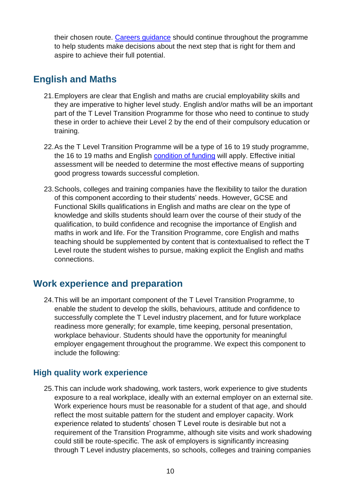their chosen route. Careers quidance should continue throughout the programme to help students make decisions about the next step that is right for them and aspire to achieve their full potential.

## <span id="page-9-0"></span>**English and Maths**

- 21.Employers are clear that English and maths are crucial employability skills and they are imperative to higher level study. English and/or maths will be an important part of the T Level Transition Programme for those who need to continue to study these in order to achieve their Level 2 by the end of their compulsory education or training.
- 22.As the T Level Transition Programme will be a type of 16 to 19 study programme, the 16 to 19 maths and English [condition of funding](https://www.gov.uk/guidance/16-to-19-funding-maths-and-english-condition-of-funding) will apply. Effective initial assessment will be needed to determine the most effective means of supporting good progress towards successful completion.
- 23.Schools, colleges and training companies have the flexibility to tailor the duration of this component according to their students' needs. However, GCSE and Functional Skills qualifications in English and maths are clear on the type of knowledge and skills students should learn over the course of their study of the qualification, to build confidence and recognise the importance of English and maths in work and life. For the Transition Programme, core English and maths teaching should be supplemented by content that is contextualised to reflect the T Level route the student wishes to pursue, making explicit the English and maths connections.

#### <span id="page-9-1"></span>**Work experience and preparation**

24.This will be an important component of the T Level Transition Programme, to enable the student to develop the skills, behaviours, attitude and confidence to successfully complete the T Level industry placement, and for future workplace readiness more generally; for example, time keeping, personal presentation, workplace behaviour. Students should have the opportunity for meaningful employer engagement throughout the programme. We expect this component to include the following:

#### <span id="page-9-2"></span>**High quality work experience**

25.This can include work shadowing, work tasters, work experience to give students exposure to a real workplace, ideally with an external employer on an external site. Work experience hours must be reasonable for a student of that age, and should reflect the most suitable pattern for the student and employer capacity. Work experience related to students' chosen T Level route is desirable but not a requirement of the Transition Programme, although site visits and work shadowing could still be route-specific. The ask of employers is significantly increasing through T Level industry placements, so schools, colleges and training companies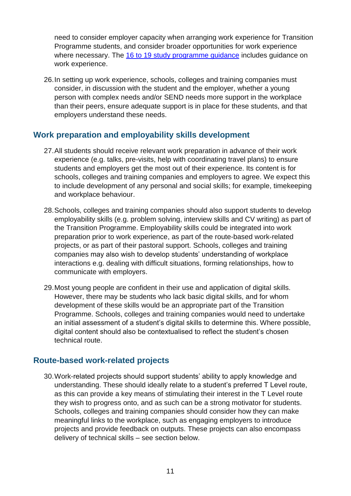need to consider employer capacity when arranging work experience for Transition Programme students, and consider broader opportunities for work experience where necessary. The [16 to 19 study programme guidance](https://www.gov.uk/government/publications/16-to-19-study-programmes-guide-for-providers/) includes guidance on work experience.

26.In setting up work experience, schools, colleges and training companies must consider, in discussion with the student and the employer, whether a young person with complex needs and/or SEND needs more support in the workplace than their peers, ensure adequate support is in place for these students, and that employers understand these needs.

#### <span id="page-10-0"></span>**Work preparation and employability skills development**

- 27.All students should receive relevant work preparation in advance of their work experience (e.g. talks, pre-visits, help with coordinating travel plans) to ensure students and employers get the most out of their experience. Its content is for schools, colleges and training companies and employers to agree. We expect this to include development of any personal and social skills; for example, timekeeping and workplace behaviour.
- 28.Schools, colleges and training companies should also support students to develop employability skills (e.g. problem solving, interview skills and CV writing) as part of the Transition Programme. Employability skills could be integrated into work preparation prior to work experience, as part of the route-based work-related projects, or as part of their pastoral support. Schools, colleges and training companies may also wish to develop students' understanding of workplace interactions e.g. dealing with difficult situations, forming relationships, how to communicate with employers.
- 29.Most young people are confident in their use and application of digital skills. However, there may be students who lack basic digital skills, and for whom development of these skills would be an appropriate part of the Transition Programme. Schools, colleges and training companies would need to undertake an initial assessment of a student's digital skills to determine this. Where possible, digital content should also be contextualised to reflect the student's chosen technical route.

#### <span id="page-10-1"></span>**Route-based work-related projects**

30.Work-related projects should support students' ability to apply knowledge and understanding. These should ideally relate to a student's preferred T Level route, as this can provide a key means of stimulating their interest in the T Level route they wish to progress onto, and as such can be a strong motivator for students. Schools, colleges and training companies should consider how they can make meaningful links to the workplace, such as engaging employers to introduce projects and provide feedback on outputs. These projects can also encompass delivery of technical skills – see section below.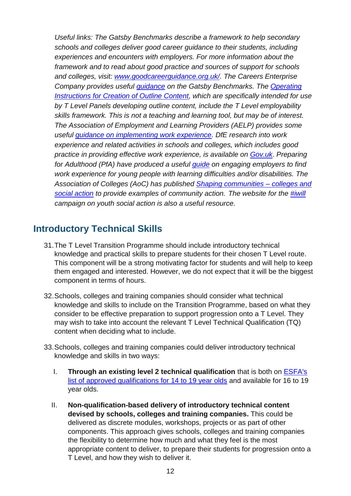*Useful links: The Gatsby Benchmarks describe a framework to help secondary schools and colleges deliver good career guidance to their students, including experiences and encounters with employers. For more information about the framework and to read about good practice and sources of support for schools and colleges, visit: [www.goodcareerguidance.org.uk/.](https://www.goodcareerguidance.org.uk/) The Careers Enterprise Company provides useful [guidance](https://www.careersandenterprise.co.uk/schools-colleges/understand-gatsby-benchmarks) on the Gatsby Benchmarks. The [Operating](https://www.instituteforapprenticeships.org/t-levels/developing-t-levels/)  [Instructions for Creation of Outline Content,](https://www.instituteforapprenticeships.org/t-levels/developing-t-levels/) which are specifically intended for use by T Level Panels developing outline content, include the T Level employability skills framework. This is not a teaching and learning tool, but may be of interest. The Association of Employment and Learning Providers (AELP) provides some useful [guidance on implementing work experience.](https://www.aelp.org.uk/resource-and-information-centre/resource-and-information-centre/publications/implementing-the-work-experience-element-of-the-16-19-study-programme-a-good-practice-guide/) DfE research into work experience and related activities in schools and colleges, which includes good practice in providing effective work experience, is available on [Gov.uk](https://www.gov.uk/government/publications/work-experience-and-related-activities-in-schools-and-colleges)*. *Preparing for Adulthood (PfA) have produced a useful [guide](https://www.preparingforadulthood.org.uk/downloads/employment/engaging-employers-to-find-work-experience-for-young-people-with-learning-difficulties-andor-disabi.htm) on engaging employers to find work experience for young people with learning difficulties and/or disabilities. The Association of Colleges (AoC) has published [Shaping communities –](https://www.aoc.co.uk/system/files/Shaping%20Communities.pdf) colleges and [social action](https://www.aoc.co.uk/system/files/Shaping%20Communities.pdf) to provide examples of community action. The website for the [#iwill](https://www.iwill.org.uk/) campaign on youth social action is also a useful resource.* 

#### <span id="page-11-0"></span>**Introductory Technical Skills**

- 31.The T Level Transition Programme should include introductory technical knowledge and practical skills to prepare students for their chosen T Level route. This component will be a strong motivating factor for students and will help to keep them engaged and interested. However, we do not expect that it will be the biggest component in terms of hours.
- 32.Schools, colleges and training companies should consider what technical knowledge and skills to include on the Transition Programme, based on what they consider to be effective preparation to support progression onto a T Level. They may wish to take into account the relevant T Level Technical Qualification (TQ) content when deciding what to include.
- 33.Schools, colleges and training companies could deliver introductory technical knowledge and skills in two ways:
	- I. **Through an existing level 2 technical qualification** that is both on [ESFA's](https://section96.education.gov.uk/?_ga=2.66436334.1370648633.1566377604-987700160.1480410053)  [list of approved qualifications for 14 to 19 year olds](https://section96.education.gov.uk/?_ga=2.66436334.1370648633.1566377604-987700160.1480410053) and available for 16 to 19 year olds.
	- II. **Non-qualification-based delivery of introductory technical content devised by schools, colleges and training companies.** This could be delivered as discrete modules, workshops, projects or as part of other components. This approach gives schools, colleges and training companies the flexibility to determine how much and what they feel is the most appropriate content to deliver, to prepare their students for progression onto a T Level, and how they wish to deliver it.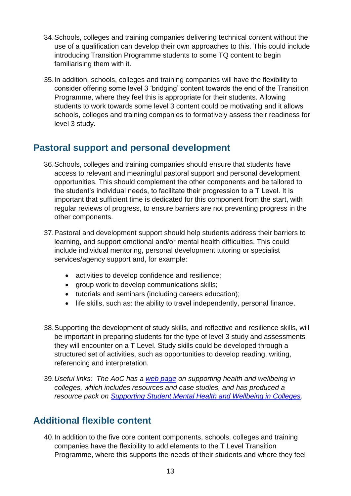- 34.Schools, colleges and training companies delivering technical content without the use of a qualification can develop their own approaches to this. This could include introducing Transition Programme students to some TQ content to begin familiarising them with it.
- 35.In addition, schools, colleges and training companies will have the flexibility to consider offering some level 3 'bridging' content towards the end of the Transition Programme, where they feel this is appropriate for their students. Allowing students to work towards some level 3 content could be motivating and it allows schools, colleges and training companies to formatively assess their readiness for level 3 study.

## <span id="page-12-0"></span>**Pastoral support and personal development**

- 36.Schools, colleges and training companies should ensure that students have access to relevant and meaningful pastoral support and personal development opportunities. This should complement the other components and be tailored to the student's individual needs, to facilitate their progression to a T Level. It is important that sufficient time is dedicated for this component from the start, with regular reviews of progress, to ensure barriers are not preventing progress in the other components.
- 37.Pastoral and development support should help students address their barriers to learning, and support emotional and/or mental health difficulties. This could include individual mentoring, personal development tutoring or specialist services/agency support and, for example:
	- activities to develop confidence and resilience;
	- group work to develop communications skills;
	- tutorials and seminars (including careers education);
	- life skills, such as: the ability to travel independently, personal finance.
- 38.Supporting the development of study skills, and reflective and resilience skills, will be important in preparing students for the type of level 3 study and assessments they will encounter on a T Level. Study skills could be developed through a structured set of activities, such as opportunities to develop reading, writing, referencing and interpretation.
- 39.*Useful links: The AoC has a [web page](https://www.aoc.co.uk/funding-and-corporate-services/employment/sharing-practice/health-and-wellbeing/useful-resources) on supporting health and wellbeing in colleges, which includes resources and case studies, and has produced a resource pack on [Supporting Student Mental Health and Wellbeing in Colleges.](https://www.aoc.co.uk/sites/default/files/Supporting%20Student%20Mental%20Health%20and%20Wellbeing%20in%20Colleges%20-%20A%20Resource%20Pack_0.pdf)*

## <span id="page-12-1"></span>**Additional flexible content**

40.In addition to the five core content components, schools, colleges and training companies have the flexibility to add elements to the T Level Transition Programme, where this supports the needs of their students and where they feel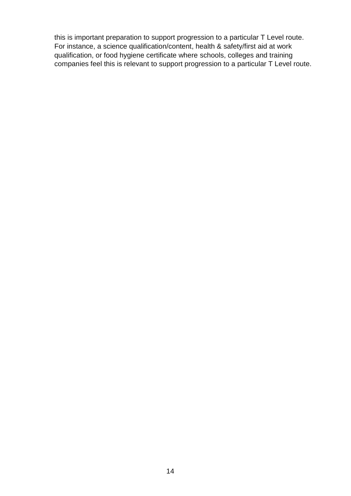this is important preparation to support progression to a particular T Level route. For instance, a science qualification/content, health & safety/first aid at work qualification, or food hygiene certificate where schools, colleges and training companies feel this is relevant to support progression to a particular T Level route.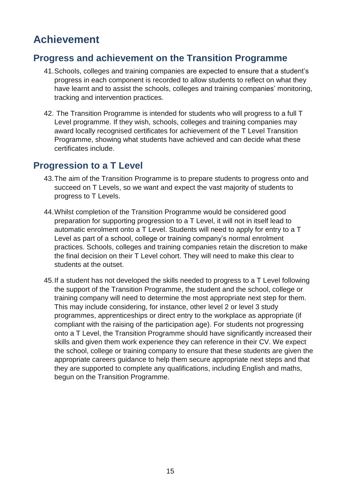# <span id="page-14-0"></span>**Achievement**

#### <span id="page-14-1"></span>**Progress and achievement on the Transition Programme**

- 41.Schools, colleges and training companies are expected to ensure that a student's progress in each component is recorded to allow students to reflect on what they have learnt and to assist the schools, colleges and training companies' monitoring, tracking and intervention practices.
- 42. The Transition Programme is intended for students who will progress to a full T Level programme. If they wish, schools, colleges and training companies may award locally recognised certificates for achievement of the T Level Transition Programme, showing what students have achieved and can decide what these certificates include.

#### <span id="page-14-2"></span>**Progression to a T Level**

- 43.The aim of the Transition Programme is to prepare students to progress onto and succeed on T Levels, so we want and expect the vast majority of students to progress to T Levels.
- 44.Whilst completion of the Transition Programme would be considered good preparation for supporting progression to a T Level, it will not in itself lead to automatic enrolment onto a T Level. Students will need to apply for entry to a T Level as part of a school, college or training company's normal enrolment practices. Schools, colleges and training companies retain the discretion to make the final decision on their T Level cohort. They will need to make this clear to students at the outset.
- 45.If a student has not developed the skills needed to progress to a T Level following the support of the Transition Programme, the student and the school, college or training company will need to determine the most appropriate next step for them. This may include considering, for instance, other level 2 or level 3 study programmes, apprenticeships or direct entry to the workplace as appropriate (if compliant with the raising of the participation age). For students not progressing onto a T Level, the Transition Programme should have significantly increased their skills and given them work experience they can reference in their CV. We expect the school, college or training company to ensure that these students are given the appropriate careers guidance to help them secure appropriate next steps and that they are supported to complete any qualifications, including English and maths, begun on the Transition Programme.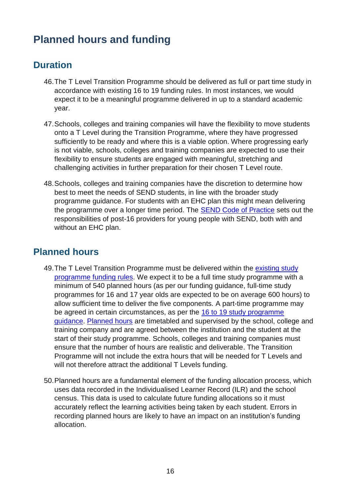# <span id="page-15-0"></span>**Planned hours and funding**

## <span id="page-15-1"></span>**Duration**

- 46.The T Level Transition Programme should be delivered as full or part time study in accordance with existing 16 to 19 funding rules. In most instances, we would expect it to be a meaningful programme delivered in up to a standard academic year.
- 47.Schools, colleges and training companies will have the flexibility to move students onto a T Level during the Transition Programme, where they have progressed sufficiently to be ready and where this is a viable option. Where progressing early is not viable, schools, colleges and training companies are expected to use their flexibility to ensure students are engaged with meaningful, stretching and challenging activities in further preparation for their chosen T Level route.
- 48.Schools, colleges and training companies have the discretion to determine how best to meet the needs of SEND students, in line with the broader study programme guidance. For students with an EHC plan this might mean delivering the programme over a longer time period. The [SEND Code of Practice](https://www.gov.uk/government/publications/send-code-of-practice-0-to-25) sets out the responsibilities of post-16 providers for young people with SEND, both with and without an EHC plan.

## <span id="page-15-2"></span>**Planned hours**

- 49. The T Level Transition Programme must be delivered within the existing study [programme funding rules.](https://www.gov.uk/guidance/16-to-19-education-funding-guidance) We expect it to be a full time study programme with a minimum of 540 planned hours (as per our funding guidance, full-time study programmes for 16 and 17 year olds are expected to be on average 600 hours) to allow sufficient time to deliver the five components. A part-time programme may be agreed in certain circumstances, as per the [16 to 19 study programme](https://www.gov.uk/government/publications/16-to-19-study-programmes-guide-for-providers/)  [guidance.](https://www.gov.uk/government/publications/16-to-19-study-programmes-guide-for-providers/) [Planned hours](https://www.gov.uk/guidance/16-to-19-funding-planned-hours-in-study-programmes) are timetabled and supervised by the school, college and training company and are agreed between the institution and the student at the start of their study programme. Schools, colleges and training companies must ensure that the number of hours are realistic and deliverable. The Transition Programme will not include the extra hours that will be needed for T Levels and will not therefore attract the additional T Levels funding.
- 50.Planned hours are a fundamental element of the funding allocation process, which uses data recorded in the Individualised Learner Record (ILR) and the school census. This data is used to calculate future funding allocations so it must accurately reflect the learning activities being taken by each student. Errors in recording planned hours are likely to have an impact on an institution's funding allocation.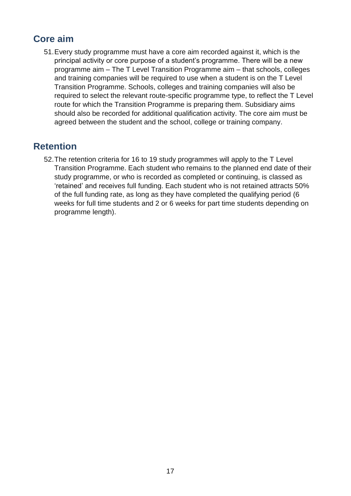## <span id="page-16-0"></span>**Core aim**

51.Every study programme must have a core aim recorded against it, which is the principal activity or core purpose of a student's programme. There will be a new programme aim – The T Level Transition Programme aim – that schools, colleges and training companies will be required to use when a student is on the T Level Transition Programme. Schools, colleges and training companies will also be required to select the relevant route-specific programme type, to reflect the T Level route for which the Transition Programme is preparing them. Subsidiary aims should also be recorded for additional qualification activity. The core aim must be agreed between the student and the school, college or training company.

#### <span id="page-16-1"></span>**Retention**

52.The retention criteria for 16 to 19 study programmes will apply to the T Level Transition Programme. Each student who remains to the planned end date of their study programme, or who is recorded as completed or continuing, is classed as 'retained' and receives full funding. Each student who is not retained attracts 50% of the full funding rate, as long as they have completed the qualifying period (6 weeks for full time students and 2 or 6 weeks for part time students depending on programme length).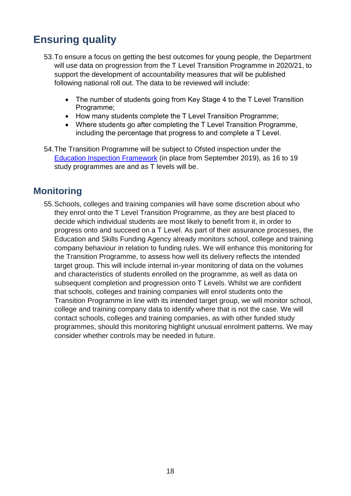# <span id="page-17-0"></span>**Ensuring quality**

- 53.To ensure a focus on getting the best outcomes for young people, the Department will use data on progression from the T Level Transition Programme in 2020/21, to support the development of accountability measures that will be published following national roll out. The data to be reviewed will include:
	- The number of students going from Key Stage 4 to the T Level Transition Programme;
	- How many students complete the T Level Transition Programme;
	- Where students go after completing the T Level Transition Programme, including the percentage that progress to and complete a T Level.
- 54.The Transition Programme will be subject to Ofsted inspection under the [Education Inspection Framework](https://www.gov.uk/government/publications/education-inspection-framework) (in place from September 2019), as 16 to 19 study programmes are and as T levels will be.

#### <span id="page-17-1"></span>**Monitoring**

55.Schools, colleges and training companies will have some discretion about who they enrol onto the T Level Transition Programme, as they are best placed to decide which individual students are most likely to benefit from it, in order to progress onto and succeed on a T Level. As part of their assurance processes, the Education and Skills Funding Agency already monitors school, college and training company behaviour in relation to funding rules. We will enhance this monitoring for the Transition Programme, to assess how well its delivery reflects the intended target group. This will include internal in-year monitoring of data on the volumes and characteristics of students enrolled on the programme, as well as data on subsequent completion and progression onto T Levels. Whilst we are confident that schools, colleges and training companies will enrol students onto the Transition Programme in line with its intended target group, we will monitor school, college and training company data to identify where that is not the case. We will contact schools, colleges and training companies, as with other funded study programmes, should this monitoring highlight unusual enrolment patterns. We may consider whether controls may be needed in future.